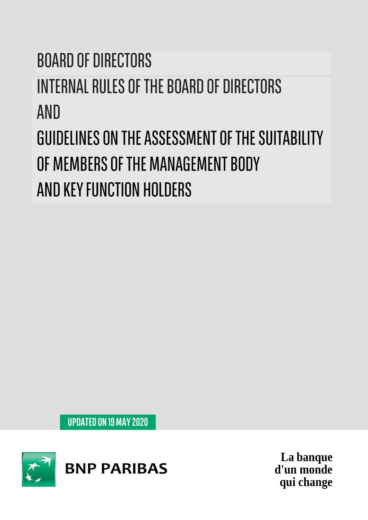# **BOARD OF DIRECTORS INTERNAL RULES OF THE BOARD OF DIRECTORS AND** GUIDELINES ON THE ASSESSMENT OF THE SUITABILITY OF MEMBERS OF THE MANAGEMENT BODY AND KEY FUNCTION HOLDERS

**UPDATED ON 19 MAY 2020** 



**La banque d'un monde qui change**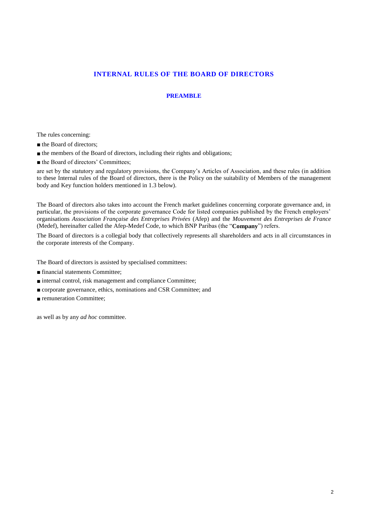## **INTERNAL RULES OF THE BOARD OF DIRECTORS**

#### **PREAMBLE**

The rules concerning:

■ the Board of directors;

■ the members of the Board of directors, including their rights and obligations;

■ the Board of directors' Committees;

are set by the statutory and regulatory provisions, the Company's Articles of Association, and these rules (in addition to these Internal rules of the Board of directors, there is the Policy on the suitability of Members of the management body and Key function holders mentioned in 1.3 below).

The Board of directors also takes into account the French market guidelines concerning corporate governance and, in particular, the provisions of the corporate governance Code for listed companies published by the French employers' organisations *Association Française des Entreprises Privées* (Afep) and the *Mouvement des Entreprises de France* (Medef), hereinafter called the Afep-Medef Code, to which BNP Paribas (the "**Company**") refers.

The Board of directors is a collegial body that collectively represents all shareholders and acts in all circumstances in the corporate interests of the Company.

The Board of directors is assisted by specialised committees:

- financial statements Committee;
- internal control, risk management and compliance Committee;
- corporate governance, ethics, nominations and CSR Committee; and
- remuneration Committee:

as well as by any *ad hoc* committee.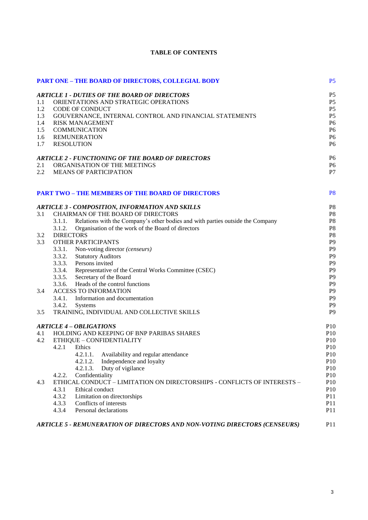|     | <b>PART ONE - THE BOARD OF DIRECTORS, COLLEGIAL BODY</b>                                            | P <sub>5</sub>                   |
|-----|-----------------------------------------------------------------------------------------------------|----------------------------------|
|     | <b>ARTICLE 1 - DUTIES OF THE BOARD OF DIRECTORS</b>                                                 | P <sub>5</sub>                   |
| 1.1 | ORIENTATIONS AND STRATEGIC OPERATIONS                                                               | P <sub>5</sub>                   |
| 1.2 | <b>CODE OF CONDUCT</b>                                                                              | P <sub>5</sub>                   |
| 1.3 | GOUVERNANCE, INTERNAL CONTROL AND FINANCIAL STATEMENTS                                              | P <sub>5</sub>                   |
| 1.4 | <b>RISK MANAGEMENT</b>                                                                              | P <sub>6</sub>                   |
| 1.5 | <b>COMMUNICATION</b>                                                                                | P <sub>6</sub>                   |
| 1.6 | <b>REMUNERATION</b>                                                                                 | P <sub>6</sub>                   |
| 1.7 | <b>RESOLUTION</b>                                                                                   | P <sub>6</sub>                   |
|     | <b>ARTICLE 2 - FUNCTIONING OF THE BOARD OF DIRECTORS</b>                                            | P <sub>6</sub>                   |
| 2.1 | ORGANISATION OF THE MEETINGS                                                                        | P <sub>6</sub>                   |
| 2.2 | <b>MEANS OF PARTICIPATION</b>                                                                       | P <sub>7</sub>                   |
|     | <b>PART TWO - THE MEMBERS OF THE BOARD OF DIRECTORS</b>                                             | P <sub>8</sub>                   |
|     |                                                                                                     |                                  |
| 3.1 | <b>ARTICLE 3 - COMPOSITION, INFORMATION AND SKILLS</b><br><b>CHAIRMAN OF THE BOARD OF DIRECTORS</b> | P <sub>8</sub>                   |
|     | Relations with the Company's other bodies and with parties outside the Company<br>3.1.1.            | P <sub>8</sub><br>P <sub>8</sub> |
|     | Organisation of the work of the Board of directors<br>3.1.2.                                        | P <sub>8</sub>                   |
| 3.2 | <b>DIRECTORS</b>                                                                                    | P <sub>8</sub>                   |
| 3.3 | <b>OTHER PARTICIPANTS</b>                                                                           | P <sub>9</sub>                   |
|     | 3.3.1. Non-voting director (censeurs)                                                               | P <sub>9</sub>                   |
|     | 3.3.2.<br><b>Statutory Auditors</b>                                                                 | P <sub>9</sub>                   |
|     | 3.3.3. Persons invited                                                                              | P <sub>9</sub>                   |
|     | 3.3.4.<br>Representative of the Central Works Committee (CSEC)                                      | P <sub>9</sub>                   |
|     | 3.3.5. Secretary of the Board                                                                       | P <sub>9</sub>                   |
|     | 3.3.6. Heads of the control functions                                                               | P <sub>9</sub>                   |
| 3.4 | <b>ACCESS TO INFORMATION</b>                                                                        | P <sub>9</sub>                   |
|     | 3.4.1. Information and documentation                                                                | P <sub>9</sub>                   |
|     | 3.4.2.<br>Systems                                                                                   | P <sub>9</sub>                   |
| 3.5 | TRAINING, INDIVIDUAL AND COLLECTIVE SKILLS                                                          | P <sub>9</sub>                   |
|     | <b>ARTICLE 4 - OBLIGATIONS</b>                                                                      | P10                              |
| 4.1 | HOLDING AND KEEPING OF BNP PARIBAS SHARES                                                           | P10                              |
| 4.2 | ETHIQUE - CONFIDENTIALITY                                                                           | P10                              |
|     | 4.2.1<br>Ethics                                                                                     | P10                              |
|     | 4.2.1.1.<br>Availability and regular attendance                                                     | P10                              |
|     | Independence and loyalty<br>4.2.1.2.                                                                | P10                              |
|     | Duty of vigilance<br>4.2.1.3.                                                                       | P <sub>10</sub>                  |
|     | 4.2.2.<br>Confidentiality                                                                           | P10                              |
| 4.3 | ETHICAL CONDUCT - LIMITATION ON DIRECTORSHIPS - CONFLICTS OF INTERESTS -                            | P10                              |
|     | 4.3.1<br>Ethical conduct                                                                            | P10                              |
|     | 4.3.2<br>Limitation on directorships                                                                | P <sub>11</sub>                  |
|     | Conflicts of interests<br>4.3.3                                                                     | P <sub>11</sub>                  |
|     | Personal declarations<br>4.3.4                                                                      | P <sub>11</sub>                  |
|     | ARTICLE 5 - REMUNERATION OF DIRECTORS AND NON-VOTING DIRECTORS (CENSEURS)                           | P <sub>11</sub>                  |

## **TABLE OF CONTENTS**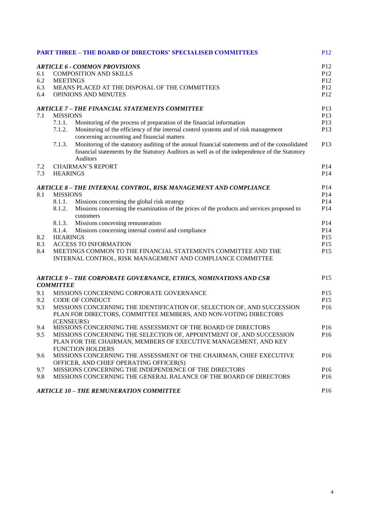|     |                                                                                            | <b>PART THREE - THE BOARD OF DIRECTORS' SPECIALISED COMMITTEES</b>                                                                                                                                            | <b>P12</b>      |  |  |
|-----|--------------------------------------------------------------------------------------------|---------------------------------------------------------------------------------------------------------------------------------------------------------------------------------------------------------------|-----------------|--|--|
|     |                                                                                            | <b>ARTICLE 6 - COMMON PROVISIONS</b>                                                                                                                                                                          | P <sub>12</sub> |  |  |
| 6.1 |                                                                                            | <b>COMPOSITION AND SKILLS</b>                                                                                                                                                                                 | P <sub>12</sub> |  |  |
| 6.2 | <b>MEETINGS</b>                                                                            |                                                                                                                                                                                                               | P <sub>12</sub> |  |  |
| 6.3 |                                                                                            | MEANS PLACED AT THE DISPOSAL OF THE COMMITTEES                                                                                                                                                                | P12             |  |  |
| 6.4 |                                                                                            | <b>OPINIONS AND MINUTES</b>                                                                                                                                                                                   | P12             |  |  |
|     |                                                                                            | <b>ARTICLE 7 - THE FINANCIAL STATEMENTS COMMITTEE</b>                                                                                                                                                         | P13             |  |  |
| 7.1 | <b>MISSIONS</b>                                                                            |                                                                                                                                                                                                               | P13             |  |  |
|     | 7.1.1.                                                                                     | Monitoring of the process of preparation of the financial information                                                                                                                                         | P13             |  |  |
|     | 7.1.2.                                                                                     | Monitoring of the efficiency of the internal control systems and of risk management<br>concerning accounting and financial matters                                                                            | P13             |  |  |
|     | 7.1.3.                                                                                     | Monitoring of the statutory auditing of the annual financial statements and of the consolidated<br>financial statements by the Statutory Auditors as well as of the independence of the Statutory<br>Auditors | P13             |  |  |
| 7.2 |                                                                                            | <b>CHAIRMAN'S REPORT</b>                                                                                                                                                                                      | P <sub>14</sub> |  |  |
| 7.3 | <b>HEARINGS</b>                                                                            |                                                                                                                                                                                                               | P <sub>14</sub> |  |  |
|     |                                                                                            | ARTICLE 8 - THE INTERNAL CONTROL, RISK MANAGEMENT AND COMPLIANCE                                                                                                                                              | P <sub>14</sub> |  |  |
| 8.1 | <b>MISSIONS</b>                                                                            |                                                                                                                                                                                                               | P <sub>14</sub> |  |  |
|     | 8.1.1.                                                                                     | Missions concerning the global risk strategy                                                                                                                                                                  | P <sub>14</sub> |  |  |
|     | 8.1.2.                                                                                     | Missions concerning the examination of the prices of the products and services proposed to<br>customers                                                                                                       | P <sub>14</sub> |  |  |
|     | 8.1.3.                                                                                     | Missions concerning remuneration                                                                                                                                                                              | P <sub>14</sub> |  |  |
|     | 8.1.4.                                                                                     | Missions concerning internal control and compliance                                                                                                                                                           | P14             |  |  |
| 8.2 | <b>HEARINGS</b>                                                                            |                                                                                                                                                                                                               | P15             |  |  |
| 8.3 | <b>ACCESS TO INFORMATION</b>                                                               |                                                                                                                                                                                                               |                 |  |  |
| 8.4 |                                                                                            | MEETINGS COMMON TO THE FINANCIAL STATEMENTS COMMITTEE AND THE<br>INTERNAL CONTROL, RISK MANAGEMENT AND COMPLIANCE COMMITTEE                                                                                   | P <sub>15</sub> |  |  |
|     |                                                                                            | ARTICLE 9 - THE CORPORATE GOVERNANCE, ETHICS, NOMINATIONS AND CSR                                                                                                                                             | P <sub>15</sub> |  |  |
|     | <b>COMMITTEE</b>                                                                           |                                                                                                                                                                                                               |                 |  |  |
| 9.1 |                                                                                            | MISSIONS CONCERNING CORPORATE GOVERNANCE                                                                                                                                                                      | P15             |  |  |
| 9.2 |                                                                                            | CODE OF CONDUCT                                                                                                                                                                                               | P <sub>15</sub> |  |  |
| 9.3 |                                                                                            | MISSIONS CONCERNING THE IDENTIFICATION OF, SELECTION OF, AND SUCCESSION<br>PLAN FOR DIRECTORS, COMMITTEE MEMBERS, AND NON-VOTING DIRECTORS                                                                    | P <sub>16</sub> |  |  |
|     |                                                                                            | (CENSEURS)                                                                                                                                                                                                    |                 |  |  |
| 9.4 |                                                                                            | MISSIONS CONCERNING THE ASSESSMENT OF THE BOARD OF DIRECTORS                                                                                                                                                  | P16             |  |  |
| 9.5 |                                                                                            | MISSIONS CONCERNING THE SELECTION OF, APPOINTMENT OF, AND SUCCESSION                                                                                                                                          | P16             |  |  |
|     | PLAN FOR THE CHAIRMAN, MEMBERS OF EXECUTIVE MANAGEMENT, AND KEY<br><b>FUNCTION HOLDERS</b> |                                                                                                                                                                                                               |                 |  |  |
| 9.6 | MISSIONS CONCERNING THE ASSESSMENT OF THE CHAIRMAN, CHIEF EXECUTIVE                        |                                                                                                                                                                                                               |                 |  |  |
|     |                                                                                            | OFFICER, AND CHIEF OPERATING OFFICER(S)                                                                                                                                                                       |                 |  |  |
| 9.7 |                                                                                            | MISSIONS CONCERNING THE INDEPENDENCE OF THE DIRECTORS                                                                                                                                                         | P <sub>16</sub> |  |  |
| 9.8 |                                                                                            | MISSIONS CONCERNING THE GENERAL BALANCE OF THE BOARD OF DIRECTORS                                                                                                                                             | P <sub>16</sub> |  |  |
|     |                                                                                            | <b>ARTICLE 10 - THE REMUNERATION COMMITTEE</b>                                                                                                                                                                | P <sub>16</sub> |  |  |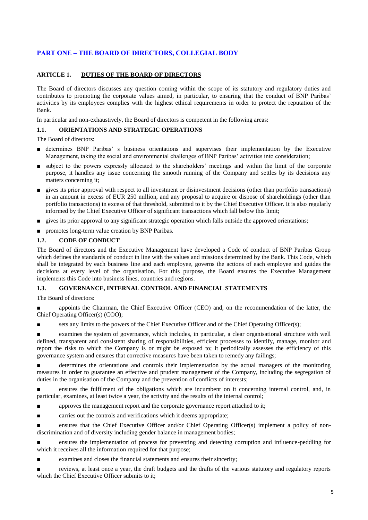## **PART ONE – THE BOARD OF DIRECTORS, COLLEGIAL BODY**

## **ARTICLE 1. DUTIES OF THE BOARD OF DIRECTORS**

The Board of directors discusses any question coming within the scope of its statutory and regulatory duties and contributes to promoting the corporate values aimed, in particular, to ensuring that the conduct of BNP Paribas' activities by its employees complies with the highest ethical requirements in order to protect the reputation of the Bank.

In particular and non-exhaustively, the Board of directors is competent in the following areas:

## **1.1. ORIENTATIONS AND STRATEGIC OPERATIONS**

The Board of directors:

- determines BNP Paribas' s business orientations and supervises their implementation by the Executive Management, taking the social and environmental challenges of BNP Paribas' activities into consideration;
- subject to the powers expressly allocated to the shareholders' meetings and within the limit of the corporate purpose, it handles any issue concerning the smooth running of the Company and settles by its decisions any matters concerning it;
- gives its prior approval with respect to all investment or disinvestment decisions (other than portfolio transactions) in an amount in excess of EUR 250 million, and any proposal to acquire or dispose of shareholdings (other than portfolio transactions) in excess of that threshold, submitted to it by the Chief Executive Officer. It is also regularly informed by the Chief Executive Officer of significant transactions which fall below this limit;
- gives its prior approval to any significant strategic operation which falls outside the approved orientations;
- promotes long-term value creation by BNP Paribas.

#### **1.2. CODE OF CONDUCT**

The Board of directors and the Executive Management have developed a Code of conduct of BNP Paribas Group which defines the standards of conduct in line with the values and missions determined by the Bank. This Code, which shall be integrated by each business line and each employee, governs the actions of each employee and guides the decisions at every level of the organisation. For this purpose, the Board ensures the Executive Management implements this Code into business lines, countries and regions.

#### **1.3. GOVERNANCE, INTERNAL CONTROL AND FINANCIAL STATEMENTS**

The Board of directors:

appoints the Chairman, the Chief Executive Officer (CEO) and, on the recommendation of the latter, the Chief Operating Officer(s) (COO);

sets any limits to the powers of the Chief Executive Officer and of the Chief Operating Officer(s);

examines the system of governance, which includes, in particular, a clear organisational structure with well defined, transparent and consistent sharing of responsibilities, efficient processes to identify, manage, monitor and report the risks to which the Company is or might be exposed to; it periodically assesses the efficiency of this governance system and ensures that corrective measures have been taken to remedy any failings;

determines the orientations and controls their implementation by the actual managers of the monitoring measures in order to guarantee an effective and prudent management of the Company, including the segregation of duties in the organisation of the Company and the prevention of conflicts of interests;

ensures the fulfilment of the obligations which are incumbent on it concerning internal control, and, in particular, examines, at least twice a year, the activity and the results of the internal control;

 $\blacksquare$  approves the management report and the corporate governance report attached to it;

carries out the controls and verifications which it deems appropriate;

■ ensures that the Chief Executive Officer and/or Chief Operating Officer(s) implement a policy of nondiscrimination and of diversity including gender balance in management bodies;

ensures the implementation of process for preventing and detecting corruption and influence-peddling for which it receives all the information required for that purpose;

examines and closes the financial statements and ensures their sincerity;

reviews, at least once a year, the draft budgets and the drafts of the various statutory and regulatory reports which the Chief Executive Officer submits to it;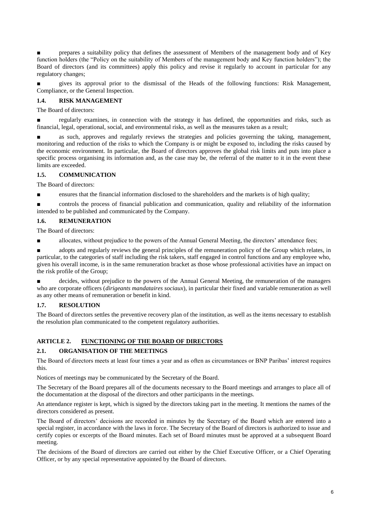prepares a suitability policy that defines the assessment of Members of the management body and of Key function holders (the "Policy on the suitability of Members of the management body and Key function holders"); the Board of directors (and its committees) apply this policy and revise it regularly to account in particular for any regulatory changes;

gives its approval prior to the dismissal of the Heads of the following functions: Risk Management, Compliance, or the General Inspection.

#### **1.4. RISK MANAGEMENT**

The Board of directors:

■ regularly examines, in connection with the strategy it has defined, the opportunities and risks, such as financial, legal, operational, social, and environmental risks, as well as the measures taken as a result;

as such, approves and regularly reviews the strategies and policies governing the taking, management, monitoring and reduction of the risks to which the Company is or might be exposed to, including the risks caused by the economic environment. In particular, the Board of directors approves the global risk limits and puts into place a specific process organising its information and, as the case may be, the referral of the matter to it in the event these limits are exceeded.

## **1.5. COMMUNICATION**

The Board of directors:

ensures that the financial information disclosed to the shareholders and the markets is of high quality;

controls the process of financial publication and communication, quality and reliability of the information intended to be published and communicated by the Company.

## **1.6. REMUNERATION**

The Board of directors:

allocates, without prejudice to the powers of the Annual General Meeting, the directors' attendance fees;

adopts and regularly reviews the general principles of the remuneration policy of the Group which relates, in particular, to the categories of staff including the risk takers, staff engaged in control functions and any employee who, given his overall income, is in the same remuneration bracket as those whose professional activities have an impact on the risk profile of the Group;

decides, without prejudice to the powers of the Annual General Meeting, the remuneration of the managers who are corporate officers (*dirigeants mandataires sociaux*), in particular their fixed and variable remuneration as well as any other means of remuneration or benefit in kind.

## **1.7. RESOLUTION**

The Board of directors settles the preventive recovery plan of the institution, as well as the items necessary to establish the resolution plan communicated to the competent regulatory authorities.

## **ARTICLE 2. FUNCTIONING OF THE BOARD OF DIRECTORS**

## **2.1. ORGANISATION OF THE MEETINGS**

The Board of directors meets at least four times a year and as often as circumstances or BNP Paribas' interest requires this.

Notices of meetings may be communicated by the Secretary of the Board.

The Secretary of the Board prepares all of the documents necessary to the Board meetings and arranges to place all of the documentation at the disposal of the directors and other participants in the meetings.

An attendance register is kept, which is signed by the directors taking part in the meeting. It mentions the names of the directors considered as present.

The Board of directors' decisions are recorded in minutes by the Secretary of the Board which are entered into a special register, in accordance with the laws in force. The Secretary of the Board of directors is authorized to issue and certify copies or excerpts of the Board minutes. Each set of Board minutes must be approved at a subsequent Board meeting.

The decisions of the Board of directors are carried out either by the Chief Executive Officer, or a Chief Operating Officer, or by any special representative appointed by the Board of directors.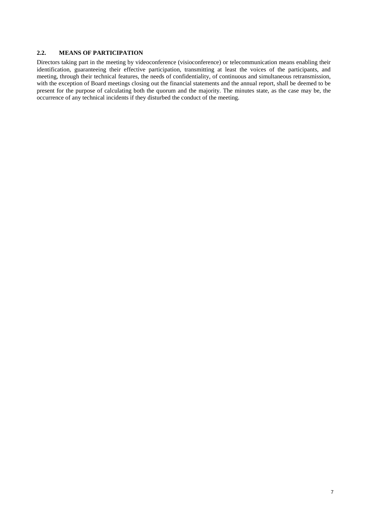## **2.2. MEANS OF PARTICIPATION**

Directors taking part in the meeting by videoconference (visioconference) or telecommunication means enabling their identification, guaranteeing their effective participation, transmitting at least the voices of the participants, and meeting, through their technical features, the needs of confidentiality, of continuous and simultaneous retransmission, with the exception of Board meetings closing out the financial statements and the annual report, shall be deemed to be present for the purpose of calculating both the quorum and the majority. The minutes state, as the case may be, the occurrence of any technical incidents if they disturbed the conduct of the meeting.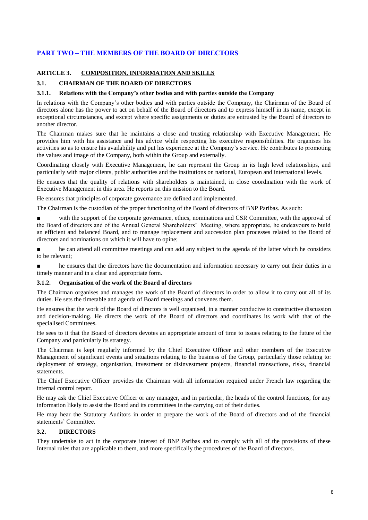## **PART TWO – THE MEMBERS OF THE BOARD OF DIRECTORS**

#### **ARTICLE 3. COMPOSITION, INFORMATION AND SKILLS**

#### **3.1. CHAIRMAN OF THE BOARD OF DIRECTORS**

#### **3.1.1. Relations with the Company's other bodies and with parties outside the Company**

In relations with the Company's other bodies and with parties outside the Company, the Chairman of the Board of directors alone has the power to act on behalf of the Board of directors and to express himself in its name, except in exceptional circumstances, and except where specific assignments or duties are entrusted by the Board of directors to another director.

The Chairman makes sure that he maintains a close and trusting relationship with Executive Management. He provides him with his assistance and his advice while respecting his executive responsibilities. He organises his activities so as to ensure his availability and put his experience at the Company's service. He contributes to promoting the values and image of the Company, both within the Group and externally.

Coordinating closely with Executive Management, he can represent the Group in its high level relationships, and particularly with major clients, public authorities and the institutions on national, European and international levels.

He ensures that the quality of relations with shareholders is maintained, in close coordination with the work of Executive Management in this area. He reports on this mission to the Board.

He ensures that principles of corporate governance are defined and implemented.

The Chairman is the custodian of the proper functioning of the Board of directors of BNP Paribas. As such:

with the support of the corporate governance, ethics, nominations and CSR Committee, with the approval of the Board of directors and of the Annual General Shareholders' Meeting, where appropriate, he endeavours to build an efficient and balanced Board, and to manage replacement and succession plan processes related to the Board of directors and nominations on which it will have to opine;

■ he can attend all committee meetings and can add any subject to the agenda of the latter which he considers to be relevant;

■ he ensures that the directors have the documentation and information necessary to carry out their duties in a timely manner and in a clear and appropriate form.

#### **3.1.2. Organisation of the work of the Board of directors**

The Chairman organises and manages the work of the Board of directors in order to allow it to carry out all of its duties. He sets the timetable and agenda of Board meetings and convenes them.

He ensures that the work of the Board of directors is well organised, in a manner conducive to constructive discussion and decision-making. He directs the work of the Board of directors and coordinates its work with that of the specialised Committees.

He sees to it that the Board of directors devotes an appropriate amount of time to issues relating to the future of the Company and particularly its strategy.

The Chairman is kept regularly informed by the Chief Executive Officer and other members of the Executive Management of significant events and situations relating to the business of the Group, particularly those relating to: deployment of strategy, organisation, investment or disinvestment projects, financial transactions, risks, financial statements.

The Chief Executive Officer provides the Chairman with all information required under French law regarding the internal control report.

He may ask the Chief Executive Officer or any manager, and in particular, the heads of the control functions, for any information likely to assist the Board and its committees in the carrying out of their duties.

He may hear the Statutory Auditors in order to prepare the work of the Board of directors and of the financial statements' Committee.

#### **3.2. DIRECTORS**

They undertake to act in the corporate interest of BNP Paribas and to comply with all of the provisions of these Internal rules that are applicable to them, and more specifically the procedures of the Board of directors.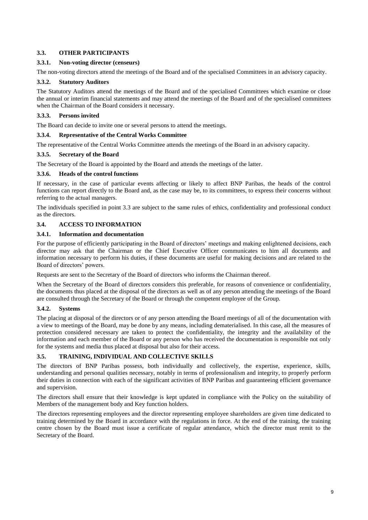## **3.3. OTHER PARTICIPANTS**

#### **3.3.1. Non-voting director (censeurs)**

The non-voting directors attend the meetings of the Board and of the specialised Committees in an advisory capacity.

#### **3.3.2. Statutory Auditors**

The Statutory Auditors attend the meetings of the Board and of the specialised Committees which examine or close the annual or interim financial statements and may attend the meetings of the Board and of the specialised committees when the Chairman of the Board considers it necessary.

#### **3.3.3. Persons invited**

The Board can decide to invite one or several persons to attend the meetings.

#### **3.3.4. Representative of the Central Works Committee**

The representative of the Central Works Committee attends the meetings of the Board in an advisory capacity.

#### **3.3.5. Secretary of the Board**

The Secretary of the Board is appointed by the Board and attends the meetings of the latter.

#### **3.3.6. Heads of the control functions**

If necessary, in the case of particular events affecting or likely to affect BNP Paribas, the heads of the control functions can report directly to the Board and, as the case may be, to its committees, to express their concerns without referring to the actual managers.

The individuals specified in point 3.3 are subject to the same rules of ethics, confidentiality and professional conduct as the directors.

#### **3.4. ACCESS TO INFORMATION**

#### **3.4.1. Information and documentation**

For the purpose of efficiently participating in the Board of directors' meetings and making enlightened decisions, each director may ask that the Chairman or the Chief Executive Officer communicates to him all documents and information necessary to perform his duties, if these documents are useful for making decisions and are related to the Board of directors' powers.

Requests are sent to the Secretary of the Board of directors who informs the Chairman thereof.

When the Secretary of the Board of directors considers this preferable, for reasons of convenience or confidentiality, the documents thus placed at the disposal of the directors as well as of any person attending the meetings of the Board are consulted through the Secretary of the Board or through the competent employee of the Group.

#### **3.4.2. Systems**

The placing at disposal of the directors or of any person attending the Board meetings of all of the documentation with a view to meetings of the Board, may be done by any means, including dematerialised. In this case, all the measures of protection considered necessary are taken to protect the confidentiality, the integrity and the availability of the information and each member of the Board or any person who has received the documentation is responsible not only for the systems and media thus placed at disposal but also for their access.

## **3.5. TRAINING, INDIVIDUAL AND COLLECTIVE SKILLS**

The directors of BNP Paribas possess, both individually and collectively, the expertise, experience, skills, understanding and personal qualities necessary, notably in terms of professionalism and integrity, to properly perform their duties in connection with each of the significant activities of BNP Paribas and guaranteeing efficient governance and supervision.

The directors shall ensure that their knowledge is kept updated in compliance with the Policy on the suitability of Members of the management body and Key function holders.

The directors representing employees and the director representing employee shareholders are given time dedicated to training determined by the Board in accordance with the regulations in force. At the end of the training, the training centre chosen by the Board must issue a certificate of regular attendance, which the director must remit to the Secretary of the Board.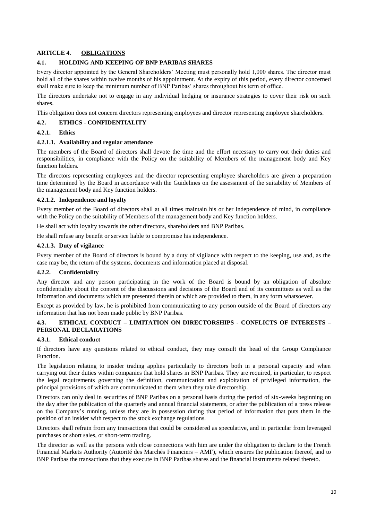## **ARTICLE 4. OBLIGATIONS**

#### **4.1. HOLDING AND KEEPING OF BNP PARIBAS SHARES**

Every director appointed by the General Shareholders' Meeting must personally hold 1,000 shares. The director must hold all of the shares within twelve months of his appointment. At the expiry of this period, every director concerned shall make sure to keep the minimum number of BNP Paribas' shares throughout his term of office.

The directors undertake not to engage in any individual hedging or insurance strategies to cover their risk on such shares.

This obligation does not concern directors representing employees and director representing employee shareholders.

#### **4.2. ETHICS - CONFIDENTIALITY**

#### **4.2.1. Ethics**

#### **4.2.1.1. Availability and regular attendance**

The members of the Board of directors shall devote the time and the effort necessary to carry out their duties and responsibilities, in compliance with the Policy on the suitability of Members of the management body and Key function holders.

The directors representing employees and the director representing employee shareholders are given a preparation time determined by the Board in accordance with the Guidelines on the assessment of the suitability of Members of the management body and Key function holders.

#### **4.2.1.2. Independence and loyalty**

Every member of the Board of directors shall at all times maintain his or her independence of mind, in compliance with the Policy on the suitability of Members of the management body and Key function holders.

He shall act with loyalty towards the other directors, shareholders and BNP Paribas.

He shall refuse any benefit or service liable to compromise his independence.

#### **4.2.1.3. Duty of vigilance**

Every member of the Board of directors is bound by a duty of vigilance with respect to the keeping, use and, as the case may be, the return of the systems, documents and information placed at disposal.

#### **4.2.2. Confidentiality**

Any director and any person participating in the work of the Board is bound by an obligation of absolute confidentiality about the content of the discussions and decisions of the Board and of its committees as well as the information and documents which are presented therein or which are provided to them, in any form whatsoever.

Except as provided by law, he is prohibited from communicating to any person outside of the Board of directors any information that has not been made public by BNP Paribas.

## **4.3. ETHICAL CONDUCT – LIMITATION ON DIRECTORSHIPS - CONFLICTS OF INTERESTS – PERSONAL DECLARATIONS**

#### **4.3.1. Ethical conduct**

If directors have any questions related to ethical conduct, they may consult the head of the Group Compliance Function.

The legislation relating to insider trading applies particularly to directors both in a personal capacity and when carrying out their duties within companies that hold shares in BNP Paribas. They are required, in particular, to respect the legal requirements governing the definition, communication and exploitation of privileged information, the principal provisions of which are communicated to them when they take directorship.

Directors can only deal in securities of BNP Paribas on a personal basis during the period of six-weeks beginning on the day after the publication of the quarterly and annual financial statements, or after the publication of a press release on the Company's running, unless they are in possession during that period of information that puts them in the position of an insider with respect to the stock exchange regulations.

Directors shall refrain from any transactions that could be considered as speculative, and in particular from leveraged purchases or short sales, or short-term trading.

The director as well as the persons with close connections with him are under the obligation to declare to the French Financial Markets Authority (Autorité des Marchés Financiers – AMF), which ensures the publication thereof, and to BNP Paribas the transactions that they execute in BNP Paribas shares and the financial instruments related thereto.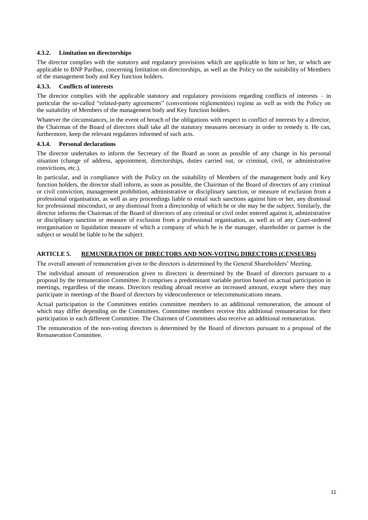## **4.3.2. Limitation on directorships**

The director complies with the statutory and regulatory provisions which are applicable to him or her, or which are applicable to BNP Paribas, concerning limitation on directorships, as well as the Policy on the suitability of Members of the management body and Key function holders.

#### **4.3.3. Conflicts of interests**

The director complies with the applicable statutory and regulatory provisions regarding conflicts of interests – in particular the so-called "related-party agreements" (conventions réglementées) regime as well as with the Policy on the suitability of Members of the management body and Key function holders.

Whatever the circumstances, in the event of breach of the obligations with respect to conflict of interests by a director, the Chairman of the Board of directors shall take all the statutory measures necessary in order to remedy it. He can, furthermore, keep the relevant regulators informed of such acts.

#### **4.3.4. Personal declarations**

The director undertakes to inform the Secretary of the Board as soon as possible of any change in his personal situation (change of address, appointment, directorships, duties carried out, or criminal, civil, or administrative convictions, etc.).

In particular, and in compliance with the Policy on the suitability of Members of the management body and Key function holders, the director shall inform, as soon as possible, the Chairman of the Board of directors of any criminal or civil conviction, management prohibition, administrative or disciplinary sanction, or measure of exclusion from a professional organisation, as well as any proceedings liable to entail such sanctions against him or her, any dismissal for professional misconduct, or any dismissal from a directorship of which he or she may be the subject. Similarly, the director informs the Chairman of the Board of directors of any criminal or civil order entered against it, administrative or disciplinary sanction or measure of exclusion from a professional organisation, as well as of any Court-ordered reorganisation or liquidation measure of which a company of which he is the manager, shareholder or partner is the subject or would be liable to be the subject.

#### **ARTICLE 5. REMUNERATION OF DIRECTORS AND NON-VOTING DIRECTORS (CENSEURS)**

The overall amount of remuneration given to the directors is determined by the General Shareholders' Meeting.

The individual amount of remuneration given to directors is determined by the Board of directors pursuant to a proposal by the remuneration Committee. It comprises a predominant variable portion based on actual participation in meetings, regardless of the means. Directors residing abroad receive an increased amount, except where they may participate in meetings of the Board of directors by videoconference or telecommunications means.

Actual participation in the Committees entitles committee members to an additional remuneration, the amount of which may differ depending on the Committees. Committee members receive this additional remuneration for their participation in each different Committee. The Chairmen of Committees also receive an additional remuneration.

The remuneration of the non-voting directors is determined by the Board of directors pursuant to a proposal of the Remuneration Committee.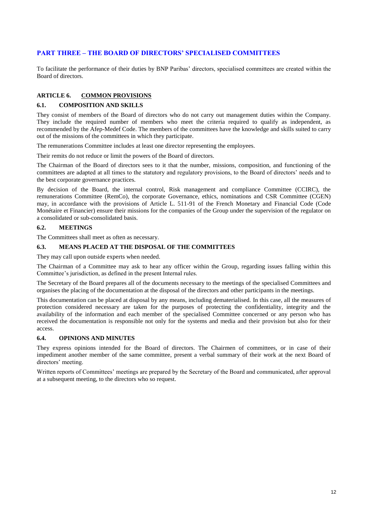## **PART THREE – THE BOARD OF DIRECTORS' SPECIALISED COMMITTEES**

To facilitate the performance of their duties by BNP Paribas' directors, specialised committees are created within the Board of directors.

## **ARTICLE 6. COMMON PROVISIONS**

#### **6.1. COMPOSITION AND SKILLS**

They consist of members of the Board of directors who do not carry out management duties within the Company. They include the required number of members who meet the criteria required to qualify as independent, as recommended by the Afep-Medef Code. The members of the committees have the knowledge and skills suited to carry out of the missions of the committees in which they participate.

The remunerations Committee includes at least one director representing the employees.

Their remits do not reduce or limit the powers of the Board of directors.

The Chairman of the Board of directors sees to it that the number, missions, composition, and functioning of the committees are adapted at all times to the statutory and regulatory provisions, to the Board of directors' needs and to the best corporate governance practices.

By decision of the Board, the internal control, Risk management and compliance Committee (CCIRC), the remunerations Committee (RemCo), the corporate Governance, ethics, nominations and CSR Committee (CGEN) may, in accordance with the provisions of Article L. 511-91 of the French Monetary and Financial Code (Code Monétaire et Financier) ensure their missions for the companies of the Group under the supervision of the regulator on a consolidated or sub-consolidated basis.

#### **6.2. MEETINGS**

The Committees shall meet as often as necessary.

### **6.3. MEANS PLACED AT THE DISPOSAL OF THE COMMITTEES**

They may call upon outside experts when needed.

The Chairman of a Committee may ask to hear any officer within the Group, regarding issues falling within this Committee's jurisdiction, as defined in the present Internal rules.

The Secretary of the Board prepares all of the documents necessary to the meetings of the specialised Committees and organises the placing of the documentation at the disposal of the directors and other participants in the meetings.

This documentation can be placed at disposal by any means, including dematerialised. In this case, all the measures of protection considered necessary are taken for the purposes of protecting the confidentiality, integrity and the availability of the information and each member of the specialised Committee concerned or any person who has received the documentation is responsible not only for the systems and media and their provision but also for their access.

#### **6.4. OPINIONS AND MINUTES**

They express opinions intended for the Board of directors. The Chairmen of committees, or in case of their impediment another member of the same committee, present a verbal summary of their work at the next Board of directors' meeting.

Written reports of Committees' meetings are prepared by the Secretary of the Board and communicated, after approval at a subsequent meeting, to the directors who so request.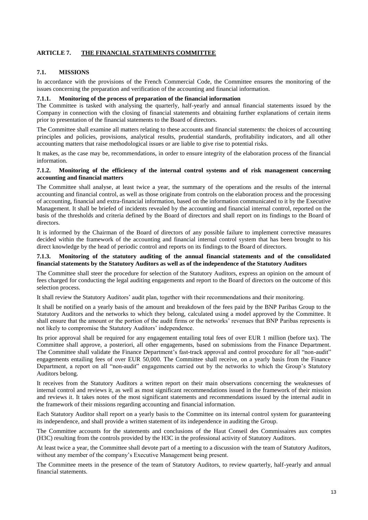## **ARTICLE 7. THE FINANCIAL STATEMENTS COMMITTEE**

## **7.1. MISSIONS**

In accordance with the provisions of the French Commercial Code, the Committee ensures the monitoring of the issues concerning the preparation and verification of the accounting and financial information.

## **7.1.1. Monitoring of the process of preparation of the financial information**

The Committee is tasked with analysing the quarterly, half-yearly and annual financial statements issued by the Company in connection with the closing of financial statements and obtaining further explanations of certain items prior to presentation of the financial statements to the Board of directors.

The Committee shall examine all matters relating to these accounts and financial statements: the choices of accounting principles and policies, provisions, analytical results, prudential standards, profitability indicators, and all other accounting matters that raise methodological issues or are liable to give rise to potential risks.

It makes, as the case may be, recommendations, in order to ensure integrity of the elaboration process of the financial information.

#### **7.1.2. Monitoring of the efficiency of the internal control systems and of risk management concerning accounting and financial matters**

The Committee shall analyse, at least twice a year, the summary of the operations and the results of the internal accounting and financial control, as well as those originate from controls on the elaboration process and the processing of accounting, financial and extra-financial information, based on the information communicated to it by the Executive Management. It shall be briefed of incidents revealed by the accounting and financial internal control, reported on the basis of the thresholds and criteria defined by the Board of directors and shall report on its findings to the Board of directors.

It is informed by the Chairman of the Board of directors of any possible failure to implement corrective measures decided within the framework of the accounting and financial internal control system that has been brought to his direct knowledge by the head of periodic control and reports on its findings to the Board of directors.

#### **7.1.3. Monitoring of the statutory auditing of the annual financial statements and of the consolidated financial statements by the Statutory Auditors as well as of the independence of the Statutory Auditors**

The Committee shall steer the procedure for selection of the Statutory Auditors, express an opinion on the amount of fees charged for conducting the legal auditing engagements and report to the Board of directors on the outcome of this selection process.

It shall review the Statutory Auditors' audit plan, together with their recommendations and their monitoring.

It shall be notified on a yearly basis of the amount and breakdown of the fees paid by the BNP Paribas Group to the Statutory Auditors and the networks to which they belong, calculated using a model approved by the Committee. It shall ensure that the amount or the portion of the audit firms or the networks' revenues that BNP Paribas represents is not likely to compromise the Statutory Auditors' independence.

Its prior approval shall be required for any engagement entailing total fees of over EUR 1 million (before tax). The Committee shall approve, a posteriori, all other engagements, based on submissions from the Finance Department. The Committee shall validate the Finance Department's fast-track approval and control procedure for all "non-audit" engagements entailing fees of over EUR 50,000. The Committee shall receive, on a yearly basis from the Finance Department, a report on all "non-audit" engagements carried out by the networks to which the Group's Statutory Auditors belong.

It receives from the Statutory Auditors a written report on their main observations concerning the weaknesses of internal control and reviews it, as well as most significant recommendations issued in the framework of their mission and reviews it. It takes notes of the most significant statements and recommendations issued by the internal audit in the framework of their missions regarding accounting and financial information.

Each Statutory Auditor shall report on a yearly basis to the Committee on its internal control system for guaranteeing its independence, and shall provide a written statement of its independence in auditing the Group.

The Committee accounts for the statements and conclusions of the Haut Conseil des Commissaires aux comptes (H3C) resulting from the controls provided by the H3C in the professional activity of Statutory Auditors.

At least twice a year, the Committee shall devote part of a meeting to a discussion with the team of Statutory Auditors, without any member of the company's Executive Management being present.

The Committee meets in the presence of the team of Statutory Auditors, to review quarterly, half-yearly and annual financial statements.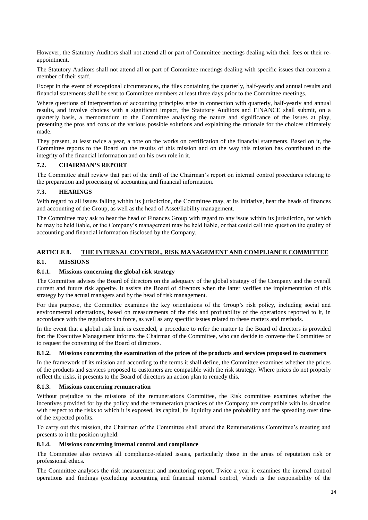However, the Statutory Auditors shall not attend all or part of Committee meetings dealing with their fees or their reappointment.

The Statutory Auditors shall not attend all or part of Committee meetings dealing with specific issues that concern a member of their staff.

Except in the event of exceptional circumstances, the files containing the quarterly, half-yearly and annual results and financial statements shall be sent to Committee members at least three days prior to the Committee meetings.

Where questions of interpretation of accounting principles arise in connection with quarterly, half-yearly and annual results, and involve choices with a significant impact, the Statutory Auditors and FINANCE shall submit, on a quarterly basis, a memorandum to the Committee analysing the nature and significance of the issues at play, presenting the pros and cons of the various possible solutions and explaining the rationale for the choices ultimately made.

They present, at least twice a year, a note on the works on certification of the financial statements. Based on it, the Committee reports to the Board on the results of this mission and on the way this mission has contributed to the integrity of the financial information and on his own role in it.

#### **7.2. CHAIRMAN'S REPORT**

The Committee shall review that part of the draft of the Chairman's report on internal control procedures relating to the preparation and processing of accounting and financial information.

#### **7.3. HEARINGS**

With regard to all issues falling within its jurisdiction, the Committee may, at its initiative, hear the heads of finances and accounting of the Group, as well as the head of Asset/liability management.

The Committee may ask to hear the head of Finances Group with regard to any issue within its jurisdiction, for which he may be held liable, or the Company's management may be held liable, or that could call into question the quality of accounting and financial information disclosed by the Company.

## **ARTICLE 8. THE INTERNAL CONTROL, RISK MANAGEMENT AND COMPLIANCE COMMITTEE**

#### **8.1. MISSIONS**

#### **8.1.1. Missions concerning the global risk strategy**

The Committee advises the Board of directors on the adequacy of the global strategy of the Company and the overall current and future risk appetite. It assists the Board of directors when the latter verifies the implementation of this strategy by the actual managers and by the head of risk management.

For this purpose, the Committee examines the key orientations of the Group's risk policy, including social and environmental orientations, based on measurements of the risk and profitability of the operations reported to it, in accordance with the regulations in force, as well as any specific issues related to these matters and methods.

In the event that a global risk limit is exceeded, a procedure to refer the matter to the Board of directors is provided for: the Executive Management informs the Chairman of the Committee, who can decide to convene the Committee or to request the convening of the Board of directors.

#### **8.1.2. Missions concerning the examination of the prices of the products and services proposed to customers**

In the framework of its mission and according to the terms it shall define, the Committee examines whether the prices of the products and services proposed to customers are compatible with the risk strategy. Where prices do not properly reflect the risks, it presents to the Board of directors an action plan to remedy this.

#### **8.1.3. Missions concerning remuneration**

Without prejudice to the missions of the remunerations Committee, the Risk committee examines whether the incentives provided for by the policy and the remuneration practices of the Company are compatible with its situation with respect to the risks to which it is exposed, its capital, its liquidity and the probability and the spreading over time of the expected profits.

To carry out this mission, the Chairman of the Committee shall attend the Remunerations Committee's meeting and presents to it the position upheld.

## **8.1.4. Missions concerning internal control and compliance**

The Committee also reviews all compliance-related issues, particularly those in the areas of reputation risk or professional ethics.

The Committee analyses the risk measurement and monitoring report. Twice a year it examines the internal control operations and findings (excluding accounting and financial internal control, which is the responsibility of the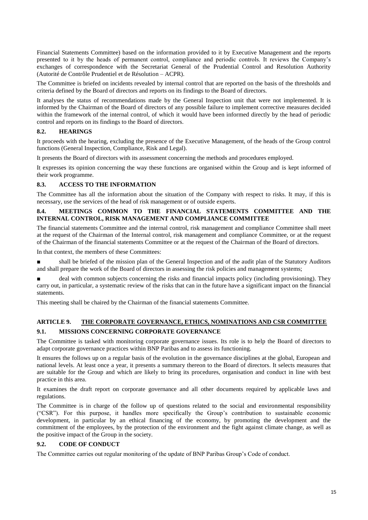Financial Statements Committee) based on the information provided to it by Executive Management and the reports presented to it by the heads of permanent control, compliance and periodic controls. It reviews the Company's exchanges of correspondence with the Secretariat General of the Prudential Control and Resolution Authority (Autorité de Contrôle Prudentiel et de Résolution – ACPR).

The Committee is briefed on incidents revealed by internal control that are reported on the basis of the thresholds and criteria defined by the Board of directors and reports on its findings to the Board of directors.

It analyses the status of recommendations made by the General Inspection unit that were not implemented. It is informed by the Chairman of the Board of directors of any possible failure to implement corrective measures decided within the framework of the internal control, of which it would have been informed directly by the head of periodic control and reports on its findings to the Board of directors.

## **8.2. HEARINGS**

It proceeds with the hearing, excluding the presence of the Executive Management, of the heads of the Group control functions (General Inspection, Compliance, Risk and Legal).

It presents the Board of directors with its assessment concerning the methods and procedures employed.

It expresses its opinion concerning the way these functions are organised within the Group and is kept informed of their work programme.

## **8.3. ACCESS TO THE INFORMATION**

The Committee has all the information about the situation of the Company with respect to risks. It may, if this is necessary, use the services of the head of risk management or of outside experts.

#### **8.4. MEETINGS COMMON TO THE FINANCIAL STATEMENTS COMMITTEE AND THE INTERNAL CONTROL, RISK MANAGEMENT AND COMPLIANCE COMMITTEE**

The financial statements Committee and the internal control, risk management and compliance Committee shall meet at the request of the Chairman of the Internal control, risk management and compliance Committee, or at the request of the Chairman of the financial statements Committee or at the request of the Chairman of the Board of directors.

In that context, the members of these Committees:

■ shall be briefed of the mission plan of the General Inspection and of the audit plan of the Statutory Auditors and shall prepare the work of the Board of directors in assessing the risk policies and management systems;

deal with common subjects concerning the risks and financial impacts policy (including provisioning). They carry out, in particular, a systematic review of the risks that can in the future have a significant impact on the financial statements.

This meeting shall be chaired by the Chairman of the financial statements Committee.

## **ARTICLE 9. THE CORPORATE GOVERNANCE, ETHICS, NOMINATIONS AND CSR COMMITTEE 9.1. MISSIONS CONCERNING CORPORATE GOVERNANCE**

The Committee is tasked with monitoring corporate governance issues. Its role is to help the Board of directors to adapt corporate governance practices within BNP Paribas and to assess its functioning.

It ensures the follows up on a regular basis of the evolution in the governance disciplines at the global, European and national levels. At least once a year, it presents a summary thereon to the Board of directors. It selects measures that are suitable for the Group and which are likely to bring its procedures, organisation and conduct in line with best practice in this area.

It examines the draft report on corporate governance and all other documents required by applicable laws and regulations.

The Committee is in charge of the follow up of questions related to the social and environmental responsibility ("CSR"). For this purpose, it handles more specifically the Group's contribution to sustainable economic development, in particular by an ethical financing of the economy, by promoting the development and the commitment of the employees, by the protection of the environment and the fight against climate change, as well as the positive impact of the Group in the society.

## **9.2. CODE OF CONDUCT**

The Committee carries out regular monitoring of the update of BNP Paribas Group's Code of conduct.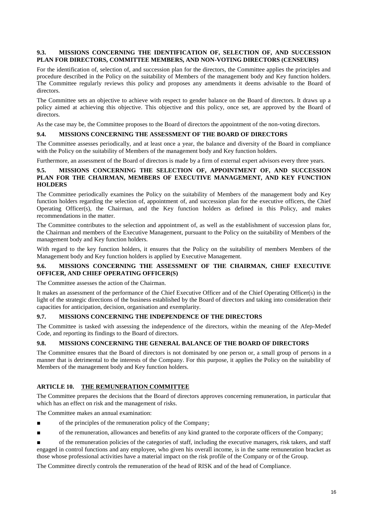## **9.3. MISSIONS CONCERNING THE IDENTIFICATION OF, SELECTION OF, AND SUCCESSION PLAN FOR DIRECTORS, COMMITTEE MEMBERS, AND NON-VOTING DIRECTORS (CENSEURS)**

For the identification of, selection of, and succession plan for the directors, the Committee applies the principles and procedure described in the Policy on the suitability of Members of the management body and Key function holders. The Committee regularly reviews this policy and proposes any amendments it deems advisable to the Board of directors.

The Committee sets an objective to achieve with respect to gender balance on the Board of directors. It draws up a policy aimed at achieving this objective. This objective and this policy, once set, are approved by the Board of directors.

As the case may be, the Committee proposes to the Board of directors the appointment of the non-voting directors.

#### **9.4. MISSIONS CONCERNING THE ASSESSMENT OF THE BOARD OF DIRECTORS**

The Committee assesses periodically, and at least once a year, the balance and diversity of the Board in compliance with the Policy on the suitability of Members of the management body and Key function holders.

Furthermore, an assessment of the Board of directors is made by a firm of external expert advisors every three years.

#### **9.5. MISSIONS CONCERNING THE SELECTION OF, APPOINTMENT OF, AND SUCCESSION PLAN FOR THE CHAIRMAN, MEMBERS OF EXECUTIVE MANAGEMENT, AND KEY FUNCTION HOLDERS**

The Committee periodically examines the Policy on the suitability of Members of the management body and Key function holders regarding the selection of, appointment of, and succession plan for the executive officers, the Chief Operating Officer(s), the Chairman, and the Key function holders as defined in this Policy, and makes recommendations in the matter.

The Committee contributes to the selection and appointment of, as well as the establishment of succession plans for, the Chairman and members of the Executive Management, pursuant to the Policy on the suitability of Members of the management body and Key function holders.

With regard to the key function holders, it ensures that the Policy on the suitability of members Members of the Management body and Key function holders is applied by Executive Management.

## **9.6. MISSIONS CONCERNING THE ASSESSMENT OF THE CHAIRMAN, CHIEF EXECUTIVE OFFICER, AND CHIEF OPERATING OFFICER(S)**

The Committee assesses the action of the Chairman.

It makes an assessment of the performance of the Chief Executive Officer and of the Chief Operating Officer(s) in the light of the strategic directions of the business established by the Board of directors and taking into consideration their capacities for anticipation, decision, organisation and exemplarity.

## **9.7. MISSIONS CONCERNING THE INDEPENDENCE OF THE DIRECTORS**

The Committee is tasked with assessing the independence of the directors, within the meaning of the Afep-Medef Code, and reporting its findings to the Board of directors.

#### **9.8. MISSIONS CONCERNING THE GENERAL BALANCE OF THE BOARD OF DIRECTORS**

The Committee ensures that the Board of directors is not dominated by one person or, a small group of persons in a manner that is detrimental to the interests of the Company. For this purpose, it applies the Policy on the suitability of Members of the management body and Key function holders.

#### **ARTICLE 10. THE REMUNERATION COMMITTEE**

The Committee prepares the decisions that the Board of directors approves concerning remuneration, in particular that which has an effect on risk and the management of risks.

The Committee makes an annual examination:

- of the principles of the remuneration policy of the Company;
- of the remuneration, allowances and benefits of any kind granted to the corporate officers of the Company;

of the remuneration policies of the categories of staff, including the executive managers, risk takers, and staff engaged in control functions and any employee, who given his overall income, is in the same remuneration bracket as those whose professional activities have a material impact on the risk profile of the Company or of the Group.

The Committee directly controls the remuneration of the head of RISK and of the head of Compliance.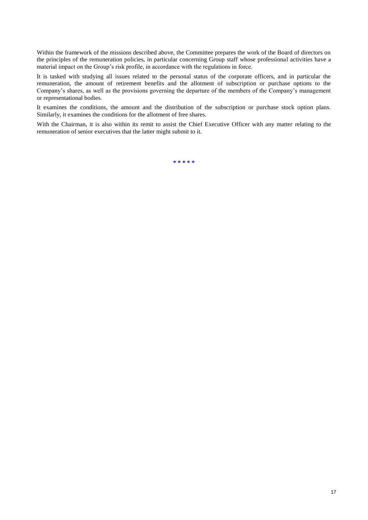Within the framework of the missions described above, the Committee prepares the work of the Board of directors on the principles of the remuneration policies, in particular concerning Group staff whose professional activities have a material impact on the Group's risk profile, in accordance with the regulations in force.

It is tasked with studying all issues related to the personal status of the corporate officers, and in particular the remuneration, the amount of retirement benefits and the allotment of subscription or purchase options to the Company's shares, as well as the provisions governing the departure of the members of the Company's management or representational bodies.

It examines the conditions, the amount and the distribution of the subscription or purchase stock option plans. Similarly, it examines the conditions for the allotment of free shares.

With the Chairman, it is also within its remit to assist the Chief Executive Officer with any matter relating to the remuneration of senior executives that the latter might submit to it.

**\* \* \* \* \***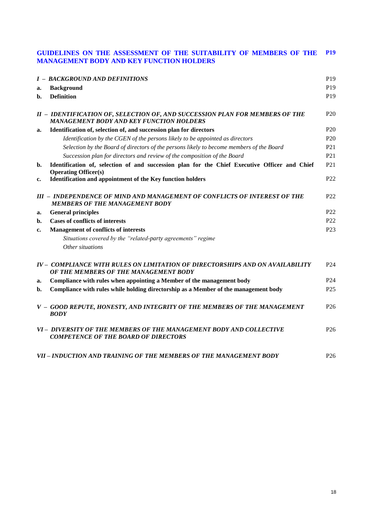#### **GUIDELINES ON THE ASSESSMENT OF THE SUITABILITY OF MEMBERS OF THE MANAGEMENT BODY AND KEY FUNCTION HOLDERS P19**

|    | <b>I - BACKGROUND AND DEFINITIONS</b>                                                                                           | P <sub>19</sub> |
|----|---------------------------------------------------------------------------------------------------------------------------------|-----------------|
| a. | <b>Background</b>                                                                                                               | P <sub>19</sub> |
| b. | <b>Definition</b>                                                                                                               | P <sub>19</sub> |
|    | II - IDENTIFICATION OF, SELECTION OF, AND SUCCESSION PLAN FOR MEMBERS OF THE<br><b>MANAGEMENT BODY AND KEY FUNCTION HOLDERS</b> | P <sub>20</sub> |
| a. | Identification of, selection of, and succession plan for directors                                                              | P <sub>20</sub> |
|    | Identification by the CGEN of the persons likely to be appointed as directors                                                   | P <sub>20</sub> |
|    | Selection by the Board of directors of the persons likely to become members of the Board                                        | P <sub>21</sub> |
|    | Succession plan for directors and review of the composition of the Board                                                        | P <sub>21</sub> |
| b. | Identification of, selection of and succession plan for the Chief Executive Officer and Chief<br><b>Operating Officer(s)</b>    | P <sub>21</sub> |
| c. | Identification and appointment of the Key function holders                                                                      | P <sub>22</sub> |
|    | III - INDEPENDENCE OF MIND AND MANAGEMENT OF CONFLICTS OF INTEREST OF THE<br><b>MEMBERS OF THE MANAGEMENT BODY</b>              | P <sub>22</sub> |
| a. | <b>General principles</b>                                                                                                       | P <sub>22</sub> |
| b. | <b>Cases of conflicts of interests</b>                                                                                          | P <sub>22</sub> |
| c. | <b>Management of conflicts of interests</b>                                                                                     | P <sub>23</sub> |
|    | Situations covered by the "related-party agreements" regime                                                                     |                 |
|    | Other situations                                                                                                                |                 |
|    | IV - COMPLIANCE WITH RULES ON LIMITATION OF DIRECTORSHIPS AND ON AVAILABILITY<br>OF THE MEMBERS OF THE MANAGEMENT BODY          | P <sub>24</sub> |
| a. | Compliance with rules when appointing a Member of the management body                                                           | P <sub>24</sub> |
| b. | Compliance with rules while holding directorship as a Member of the management body                                             | P <sub>25</sub> |
|    | V - GOOD REPUTE, HONESTY, AND INTEGRITY OF THE MEMBERS OF THE MANAGEMENT<br><b>BODY</b>                                         | P <sub>26</sub> |
|    | VI - DIVERSITY OF THE MEMBERS OF THE MANAGEMENT BODY AND COLLECTIVE<br><b>COMPETENCE OF THE BOARD OF DIRECTORS</b>              | P <sub>26</sub> |
|    | VII - INDUCTION AND TRAINING OF THE MEMBERS OF THE MANAGEMENT BODY                                                              | P <sub>26</sub> |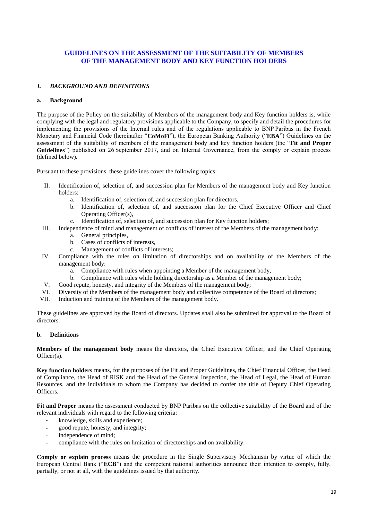## **GUIDELINES ON THE ASSESSMENT OF THE SUITABILITY OF MEMBERS OF THE MANAGEMENT BODY AND KEY FUNCTION HOLDERS**

#### *I. BACKGROUND AND DEFINITIONS*

#### **a. Background**

The purpose of the Policy on the suitability of Members of the management body and Key function holders is, while complying with the legal and regulatory provisions applicable to the Company, to specify and detail the procedures for implementing the provisions of the Internal rules and of the regulations applicable to BNP Paribas in the French Monetary and Financial Code (hereinafter "**CoMoFi**"), the European Banking Authority ("**EBA**") Guidelines on the assessment of the suitability of members of the management body and key function holders (the "**Fit and Proper Guidelines**") published on 26 September 2017, and on Internal Governance, from the comply or explain process (defined below).

Pursuant to these provisions, these guidelines cover the following topics:

- II. Identification of, selection of, and succession plan for Members of the management body and Key function holders:
	- a. Identification of, selection of, and succession plan for directors,
	- b. Identification of, selection of, and succession plan for the Chief Executive Officer and Chief Operating Officer(s),
	- c. Identification of, selection of, and succession plan for Key function holders;
- III. Independence of mind and management of conflicts of interest of the Members of the management body:
	- a. General principles,
	- b. Cases of conflicts of interests,
	- c. Management of conflicts of interests;
- IV. Compliance with the rules on limitation of directorships and on availability of the Members of the management body:
	- a. Compliance with rules when appointing a Member of the management body,
	- b. Compliance with rules while holding directorship as a Member of the management body;
- V. Good repute, honesty, and integrity of the Members of the management body;
- VI. Diversity of the Members of the management body and collective competence of the Board of directors;
- VII. Induction and training of the Members of the management body.

These guidelines are approved by the Board of directors. Updates shall also be submitted for approval to the Board of directors.

#### **b. Definitions**

**Members of the management body** means the directors, the Chief Executive Officer, and the Chief Operating Officer(s).

**Key function holders** means, for the purposes of the Fit and Proper Guidelines, the Chief Financial Officer, the Head of Compliance, the Head of RISK and the Head of the General Inspection, the Head of Legal, the Head of Human Resources, and the individuals to whom the Company has decided to confer the title of Deputy Chief Operating Officers.

**Fit and Proper** means the assessment conducted by BNP Paribas on the collective suitability of the Board and of the relevant individuals with regard to the following criteria:

- knowledge, skills and experience;
- good repute, honesty, and integrity;
- independence of mind;
- compliance with the rules on limitation of directorships and on availability.

**Comply or explain process** means the procedure in the Single Supervisory Mechanism by virtue of which the European Central Bank ("**ECB**") and the competent national authorities announce their intention to comply, fully, partially, or not at all, with the guidelines issued by that authority.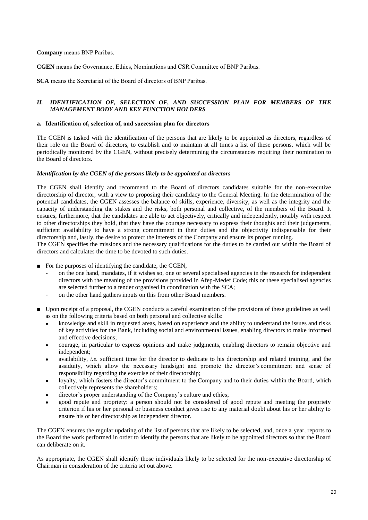#### **Company** means BNP Paribas.

**CGEN** means the Governance, Ethics, Nominations and CSR Committee of BNP Paribas.

**SCA** means the Secretariat of the Board of directors of BNP Paribas.

#### *II. IDENTIFICATION OF, SELECTION OF, AND SUCCESSION PLAN FOR MEMBERS OF THE MANAGEMENT BODY AND KEY FUNCTION HOLDERS*

#### **a. Identification of, selection of, and succession plan for directors**

The CGEN is tasked with the identification of the persons that are likely to be appointed as directors, regardless of their role on the Board of directors, to establish and to maintain at all times a list of these persons, which will be periodically monitored by the CGEN, without precisely determining the circumstances requiring their nomination to the Board of directors.

#### *Identification by the CGEN of the persons likely to be appointed as directors*

The CGEN shall identify and recommend to the Board of directors candidates suitable for the non-executive directorship of director, with a view to proposing their candidacy to the General Meeting. In the determination of the potential candidates, the CGEN assesses the balance of skills, experience, diversity, as well as the integrity and the capacity of understanding the stakes and the risks, both personal and collective, of the members of the Board. It ensures, furthermore, that the candidates are able to act objectively, critically and independently, notably with respect to other directorships they hold, that they have the courage necessary to express their thoughts and their judgements, sufficient availability to have a strong commitment in their duties and the objectivity indispensable for their directorship and, lastly, the desire to protect the interests of the Company and ensure its proper running.

The CGEN specifies the missions and the necessary qualifications for the duties to be carried out within the Board of directors and calculates the time to be devoted to such duties.

- For the purposes of identifying the candidate, the CGEN,
	- on the one hand, mandates, if it wishes so, one or several specialised agencies in the research for independent directors with the meaning of the provisions provided in Afep-Medef Code; this or these specialised agencies are selected further to a tender organised in coordination with the SCA;
	- on the other hand gathers inputs on this from other Board members.
- Upon receipt of a proposal, the CGEN conducts a careful examination of the provisions of these guidelines as well as on the following criteria based on both personal and collective skills:
	- knowledge and skill in requested areas, based on experience and the ability to understand the issues and risks of key activities for the Bank, including social and environmental issues, enabling directors to make informed and effective decisions;
	- courage, in particular to express opinions and make judgments, enabling directors to remain objective and independent;
	- availability, *i.e.* sufficient time for the director to dedicate to his directorship and related training, and the assiduity, which allow the necessary hindsight and promote the director's commitment and sense of responsibility regarding the exercise of their directorship;
	- loyalty, which fosters the director's commitment to the Company and to their duties within the Board, which collectively represents the shareholders;
	- director's proper understanding of the Company's culture and ethics;
	- good repute and propriety: a person should not be considered of good repute and meeting the propriety criterion if his or her personal or business conduct gives rise to any material doubt about his or her ability to ensure his or her directorship as independent director.

The CGEN ensures the regular updating of the list of persons that are likely to be selected, and, once a year, reports to the Board the work performed in order to identify the persons that are likely to be appointed directors so that the Board can deliberate on it.

As appropriate, the CGEN shall identify those individuals likely to be selected for the non-executive directorship of Chairman in consideration of the criteria set out above.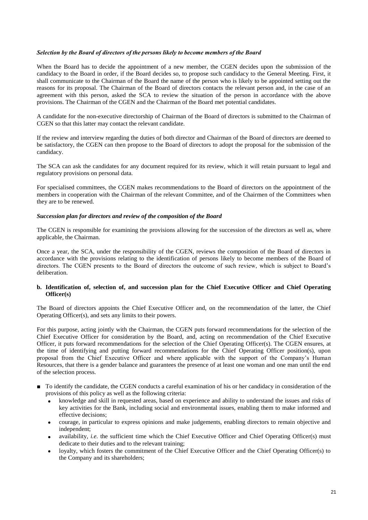#### *Selection by the Board of directors of the persons likely to become members of the Board*

When the Board has to decide the appointment of a new member, the CGEN decides upon the submission of the candidacy to the Board in order, if the Board decides so, to propose such candidacy to the General Meeting. First, it shall communicate to the Chairman of the Board the name of the person who is likely to be appointed setting out the reasons for its proposal. The Chairman of the Board of directors contacts the relevant person and, in the case of an agreement with this person, asked the SCA to review the situation of the person in accordance with the above provisions. The Chairman of the CGEN and the Chairman of the Board met potential candidates.

A candidate for the non-executive directorship of Chairman of the Board of directors is submitted to the Chairman of CGEN so that this latter may contact the relevant candidate.

If the review and interview regarding the duties of both director and Chairman of the Board of directors are deemed to be satisfactory, the CGEN can then propose to the Board of directors to adopt the proposal for the submission of the candidacy.

The SCA can ask the candidates for any document required for its review, which it will retain pursuant to legal and regulatory provisions on personal data.

For specialised committees, the CGEN makes recommendations to the Board of directors on the appointment of the members in cooperation with the Chairman of the relevant Committee, and of the Chairmen of the Committees when they are to be renewed.

#### *Succession plan for directors and review of the composition of the Board*

The CGEN is responsible for examining the provisions allowing for the succession of the directors as well as, where applicable, the Chairman.

Once a year, the SCA, under the responsibility of the CGEN, reviews the composition of the Board of directors in accordance with the provisions relating to the identification of persons likely to become members of the Board of directors. The CGEN presents to the Board of directors the outcome of such review, which is subject to Board's deliberation.

#### **b. Identification of, selection of, and succession plan for the Chief Executive Officer and Chief Operating Officer(s)**

The Board of directors appoints the Chief Executive Officer and, on the recommendation of the latter, the Chief Operating Officer(s), and sets any limits to their powers.

For this purpose, acting jointly with the Chairman, the CGEN puts forward recommendations for the selection of the Chief Executive Officer for consideration by the Board, and, acting on recommendation of the Chief Executive Officer, it puts forward recommendations for the selection of the Chief Operating Officer(s). The CGEN ensures, at the time of identifying and putting forward recommendations for the Chief Operating Officer position(s), upon proposal from the Chief Executive Officer and where applicable with the support of the Company's Human Resources, that there is a gender balance and guarantees the presence of at least one woman and one man until the end of the selection process.

- To identify the candidate, the CGEN conducts a careful examination of his or her candidacy in consideration of the provisions of this policy as well as the following criteria:
	- knowledge and skill in requested areas, based on experience and ability to understand the issues and risks of key activities for the Bank, including social and environmental issues, enabling them to make informed and effective decisions;
	- courage, in particular to express opinions and make judgements, enabling directors to remain objective and independent;
	- availability, *i.e.* the sufficient time which the Chief Executive Officer and Chief Operating Officer(s) must dedicate to their duties and to the relevant training;
	- loyalty, which fosters the commitment of the Chief Executive Officer and the Chief Operating Officer(s) to the Company and its shareholders;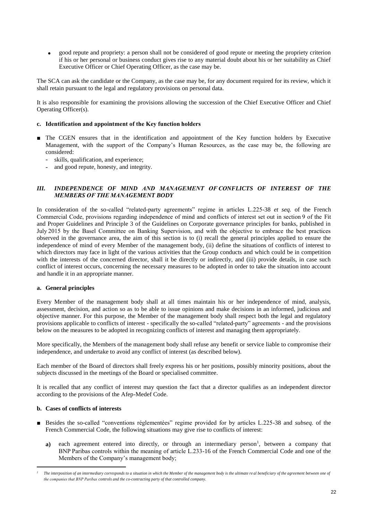good repute and propriety: a person shall not be considered of good repute or meeting the propriety criterion if his or her personal or business conduct gives rise to any material doubt about his or her suitability as Chief Executive Officer or Chief Operating Officer, as the case may be.

The SCA can ask the candidate or the Company, as the case may be, for any document required for its review, which it shall retain pursuant to the legal and regulatory provisions on personal data.

It is also responsible for examining the provisions allowing the succession of the Chief Executive Officer and Chief Operating Officer(s).

#### **c. Identification and appointment of the Key function holders**

- The CGEN ensures that in the identification and appointment of the Key function holders by Executive Management, with the support of the Company's Human Resources, as the case may be, the following are considered:
	- skills, qualification, and experience;
	- and good repute, honesty, and integrity.

#### *III. INDEPENDENCE OF MIND AND MANAGEMENT OF CONFLICTS OF INTEREST OF THE MEMBERS OF THE MANAGEMENT BODY*

In consideration of the so-called "related-party agreements" regime in articles L.225-38 *et seq.* of the French Commercial Code, provisions regarding independence of mind and conflicts of interest set out in section 9 of the Fit and Proper Guidelines and Principle 3 of the Guidelines on Corporate governance principles for banks, published in July 2015 by the Basel Committee on Banking Supervision, and with the objective to embrace the best practices observed in the governance area, the aim of this section is to (i) recall the general principles applied to ensure the independence of mind of every Member of the management body, (ii) define the situations of conflicts of interest to which directors may face in light of the various activities that the Group conducts and which could be in competition with the interests of the concerned director, shall it be directly or indirectly, and (iii) provide details, in case such conflict of interest occurs, concerning the necessary measures to be adopted in order to take the situation into account and handle it in an appropriate manner.

#### **a. General principles**

Every Member of the management body shall at all times maintain his or her independence of mind, analysis, assessment, decision, and action so as to be able to issue opinions and make decisions in an informed, judicious and objective manner. For this purpose, the Member of the management body shall respect both the legal and regulatory provisions applicable to conflicts of interest - specifically the so-called "related-party" agreements - and the provisions below on the measures to be adopted in recognizing conflicts of interest and managing them appropriately.

More specifically, the Members of the management body shall refuse any benefit or service liable to compromise their independence, and undertake to avoid any conflict of interest (as described below).

Each member of the Board of directors shall freely express his or her positions, possibly minority positions, about the subjects discussed in the meetings of the Board or specialised committee.

It is recalled that any conflict of interest may question the fact that a director qualifies as an independent director according to the provisions of the Afep-Medef Code.

#### **b. Cases of conflicts of interests**

 $\overline{a}$ 

- Besides the so-called "conventions réglementées" regime provided for by articles L.225-38 and *subseq*. of the French Commercial Code, the following situations may give rise to conflicts of interest:
	- a) each agreement entered into directly, or through an intermediary person<sup>1</sup>, between a company that BNP Paribas controls within the meaning of article L.233-16 of the French Commercial Code and one of the Members of the Company's management body;

*<sup>1</sup> The interposition of an intermediary corresponds to a situation in which the Member of the management body is the ultimate re al beneficiary of the agreement between one of the companies that BNP Paribas controls and the co-contracting party of that controlled company.*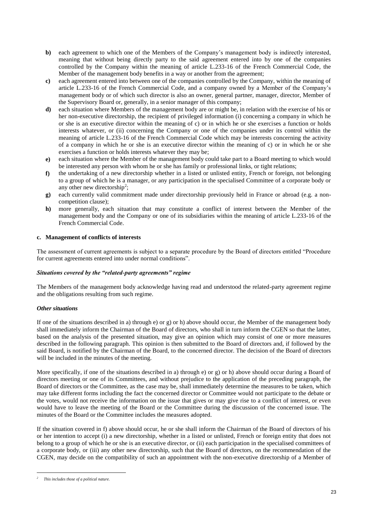- **b**) each agreement to which one of the Members of the Company's management body is indirectly interested, meaning that without being directly party to the said agreement entered into by one of the companies controlled by the Company within the meaning of article L.233-16 of the French Commercial Code, the Member of the management body benefits in a way or another from the agreement;
- **c)** each agreement entered into between one of the companies controlled by the Company, within the meaning of article L.233-16 of the French Commercial Code, and a company owned by a Member of the Company's management body or of which such director is also an owner, general partner, manager, director, Member of the Supervisory Board or, generally, in a senior manager of this company;
- **d)** each situation where Members of the management body are or might be, in relation with the exercise of his or her non-executive directorship, the recipient of privileged information (i) concerning a company in which he or she is an executive director within the meaning of c) or in which he or she exercises a function or holds interests whatever, or (ii) concerning the Company or one of the companies under its control within the meaning of article L.233-16 of the French Commercial Code which may be interests concerning the activity of a company in which he or she is an executive director within the meaning of c) or in which he or she exercises a function or holds interests whatever they may be;
- **e)** each situation where the Member of the management body could take part to a Board meeting to which would be interested any person with whom he or she has family or professional links, or tight relations;
- **f)** the undertaking of a new directorship whether in a listed or unlisted entity, French or foreign, not belonging to a group of which he is a manager, or any participation in the specialised Committee of a corporate body or any other new directorship<sup>2</sup>;
- **g)** each currently valid commitment made under directorship previously held in France or abroad (e.g. a noncompetition clause);
- **h)** more generally, each situation that may constitute a conflict of interest between the Member of the management body and the Company or one of its subsidiaries within the meaning of article L.233-16 of the French Commercial Code.

#### **c. Management of conflicts of interests**

The assessment of current agreements is subject to a separate procedure by the Board of directors entitled "Procedure for current agreements entered into under normal conditions".

#### *Situations covered by the "related-party agreements" regime*

The Members of the management body acknowledge having read and understood the related-party agreement regime and the obligations resulting from such regime.

#### *Other situations*

If one of the situations described in a) through e) or g) or h) above should occur, the Member of the management body shall immediately inform the Chairman of the Board of directors, who shall in turn inform the CGEN so that the latter, based on the analysis of the presented situation, may give an opinion which may consist of one or more measures described in the following paragraph. This opinion is then submitted to the Board of directors and, if followed by the said Board, is notified by the Chairman of the Board, to the concerned director. The decision of the Board of directors will be included in the minutes of the meeting.

More specifically, if one of the situations described in a) through e) or g) or h) above should occur during a Board of directors meeting or one of its Committees, and without prejudice to the application of the preceding paragraph, the Board of directors or the Committee, as the case may be, shall immediately determine the measures to be taken, which may take different forms including the fact the concerned director or Committee would not participate to the debate or the votes, would not receive the information on the issue that gives or may give rise to a conflict of interest, or even would have to leave the meeting of the Board or the Committee during the discussion of the concerned issue. The minutes of the Board or the Committee includes the measures adopted.

If the situation covered in f) above should occur, he or she shall inform the Chairman of the Board of directors of his or her intention to accept (i) a new directorship, whether in a listed or unlisted, French or foreign entity that does not belong to a group of which he or she is an executive director, or (ii) each participation in the specialised committees of a corporate body, or (iii) any other new directorship, such that the Board of directors, on the recommendation of the CGEN, may decide on the compatibility of such an appointment with the non-executive directorship of a Member of

 $\overline{a}$ 

*<sup>2</sup> This includes those of a political nature.*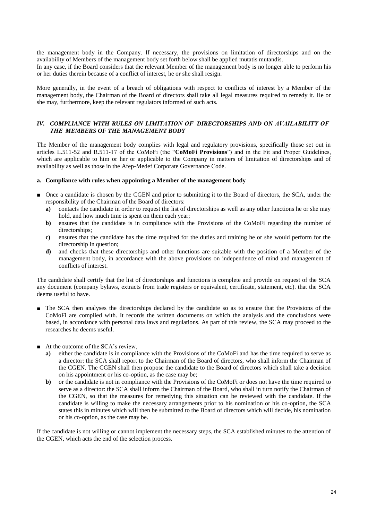the management body in the Company. If necessary, the provisions on limitation of directorships and on the availability of Members of the management body set forth below shall be applied mutatis mutandis. In any case, if the Board considers that the relevant Member of the management body is no longer able to perform his or her duties therein because of a conflict of interest, he or she shall resign.

More generally, in the event of a breach of obligations with respect to conflicts of interest by a Member of the management body, the Chairman of the Board of directors shall take all legal measures required to remedy it. He or she may, furthermore, keep the relevant regulators informed of such acts.

#### *IV. COMPLIANCE WITH RULES ON LIMITATION OF  DIRECTORSHIPS AND ON AVAILABILITY OF  THE  MEMBERS OF THE MANAGEMENT BODY*

The Member of the management body complies with legal and regulatory provisions, specifically those set out in articles L.511-52 and R.511-17 of the CoMoFi (the "**CoMoFi Provisions**") and in the Fit and Proper Guidelines, which are applicable to him or her or applicable to the Company in matters of limitation of directorships and of availability as well as those in the Afep-Medef Corporate Governance Code.

#### **a. Compliance with rules when appointing a Member of the management body**

- Once a candidate is chosen by the CGEN and prior to submitting it to the Board of directors, the SCA, under the responsibility of the Chairman of the Board of directors:
	- **a)** contacts the candidate in order to request the list of directorships as well as any other functions he or she may hold, and how much time is spent on them each year;
	- **b**) ensures that the candidate is in compliance with the Provisions of the CoMoFi regarding the number of directorships;
	- **c)** ensures that the candidate has the time required for the duties and training he or she would perform for the directorship in question;
	- **d)** and checks that these directorships and other functions are suitable with the position of a Member of the management body, in accordance with the above provisions on independence of mind and management of conflicts of interest.

The candidate shall certify that the list of directorships and functions is complete and provide on request of the SCA any document (company bylaws, extracts from trade registers or equivalent, certificate, statement, etc). that the SCA deems useful to have.

- The SCA then analyses the directorships declared by the candidate so as to ensure that the Provisions of the CoMoFi are complied with. It records the written documents on which the analysis and the conclusions were based, in accordance with personal data laws and regulations. As part of this review, the SCA may proceed to the researches he deems useful.
- At the outcome of the SCA's review,
	- **a)** either the candidate is in compliance with the Provisions of the CoMoFi and has the time required to serve as a director: the SCA shall report to the Chairman of the Board of directors, who shall inform the Chairman of the CGEN. The CGEN shall then propose the candidate to the Board of directors which shall take a decision on his appointment or his co-option, as the case may be;
	- **b)** or the candidate is not in compliance with the Provisions of the CoMoFi or does not have the time required to serve as a director: the SCA shall inform the Chairman of the Board, who shall in turn notify the Chairman of the CGEN, so that the measures for remedying this situation can be reviewed with the candidate. If the candidate is willing to make the necessary arrangements prior to his nomination or his co-option, the SCA states this in minutes which will then be submitted to the Board of directors which will decide, his nomination or his co-option, as the case may be.

If the candidate is not willing or cannot implement the necessary steps, the SCA established minutes to the attention of the CGEN, which acts the end of the selection process.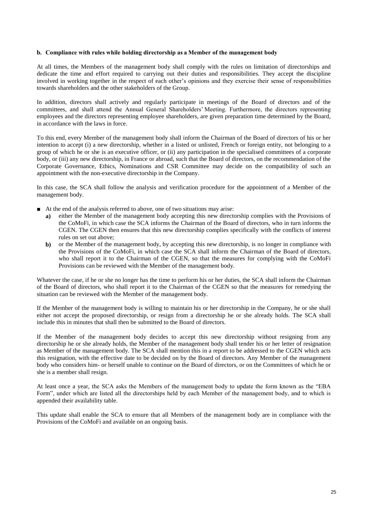#### **b. Compliance with rules while holding directorship as a Member of the management body**

At all times, the Members of the management body shall comply with the rules on limitation of directorships and dedicate the time and effort required to carrying out their duties and responsibilities. They accept the discipline involved in working together in the respect of each other's opinions and they exercise their sense of responsibilities towards shareholders and the other stakeholders of the Group.

In addition, directors shall actively and regularly participate in meetings of the Board of directors and of the committees, and shall attend the Annual General Shareholders' Meeting. Furthermore, the directors representing employees and the directors representing employee shareholders, are given preparation time determined by the Board, in accordance with the laws in force.

To this end, every Member of the management body shall inform the Chairman of the Board of directors of his or her intention to accept (i) a new directorship, whether in a listed or unlisted, French or foreign entity, not belonging to a group of which he or she is an executive officer, or (ii) any participation in the specialised committees of a corporate body, or (iii) any new directorship, in France or abroad, such that the Board of directors, on the recommendation of the Corporate Governance, Ethics, Nominations and CSR Committee may decide on the compatibility of such an appointment with the non-executive directorship in the Company.

In this case, the SCA shall follow the analysis and verification procedure for the appointment of a Member of the management body.

- At the end of the analysis referred to above, one of two situations may arise:
	- **a)** either the Member of the management body accepting this new directorship complies with the Provisions of the CoMoFi, in which case the SCA informs the Chairman of the Board of directors, who in turn informs the CGEN. The CGEN then ensures that this new directorship complies specifically with the conflicts of interest rules on set out above;
	- **b)** or the Member of the management body, by accepting this new directorship, is no longer in compliance with the Provisions of the CoMoFi, in which case the SCA shall inform the Chairman of the Board of directors, who shall report it to the Chairman of the CGEN, so that the measures for complying with the CoMoFi Provisions can be reviewed with the Member of the management body.

Whatever the case, if he or she no longer has the time to perform his or her duties, the SCA shall inform the Chairman of the Board of directors, who shall report it to the Chairman of the CGEN so that the measures for remedying the situation can be reviewed with the Member of the management body.

If the Member of the management body is willing to maintain his or her directorship in the Company, he or she shall either not accept the proposed directorship, or resign from a directorship he or she already holds. The SCA shall include this in minutes that shall then be submitted to the Board of directors.

If the Member of the management body decides to accept this new directorship without resigning from any directorship he or she already holds, the Member of the management body shall tender his or her letter of resignation as Member of the management body. The SCA shall mention this in a report to be addressed to the CGEN which acts this resignation, with the effective date to be decided on by the Board of directors. Any Member of the management body who considers him- or herself unable to continue on the Board of directors, or on the Committees of which he or she is a member shall resign.

At least once a year, the SCA asks the Members of the management body to update the form known as the "EBA Form", under which are listed all the directorships held by each Member of the management body, and to which is appended their availability table.

This update shall enable the SCA to ensure that all Members of the management body are in compliance with the Provisions of the CoMoFi and available on an ongoing basis.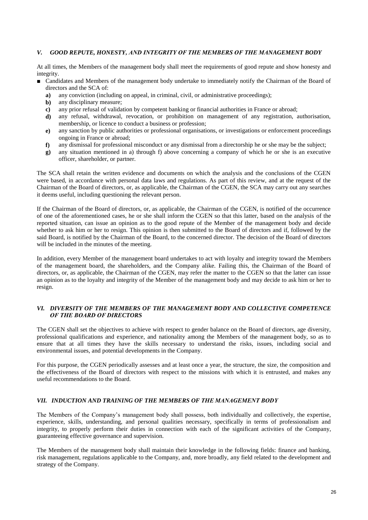## *V. GOOD REPUTE, HONESTY, AND INTEGRITY OF THE MEMBERS OF THE MANAGEMENT BODY*

At all times, the Members of the management body shall meet the requirements of good repute and show honesty and integrity.

- Candidates and Members of the management body undertake to immediately notify the Chairman of the Board of directors and the SCA of:
	- **a)** any conviction (including on appeal, in criminal, civil, or administrative proceedings);
	- **b)** any disciplinary measure;
	- **c)** any prior refusal of validation by competent banking or financial authorities in France or abroad;
	- **d)** any refusal, withdrawal, revocation, or prohibition on management of any registration, authorisation, membership, or licence to conduct a business or profession;
	- **e)** any sanction by public authorities or professional organisations, or investigations or enforcement proceedings ongoing in France or abroad;
	- **f)** any dismissal for professional misconduct or any dismissal from a directorship he or she may be the subject;
	- **g)** any situation mentioned in a) through f) above concerning a company of which he or she is an executive officer, shareholder, or partner.

The SCA shall retain the written evidence and documents on which the analysis and the conclusions of the CGEN were based, in accordance with personal data laws and regulations. As part of this review, and at the request of the Chairman of the Board of directors, or, as applicable, the Chairman of the CGEN, the SCA may carry out any searches it deems useful, including questioning the relevant person.

If the Chairman of the Board of directors, or, as applicable, the Chairman of the CGEN, is notified of the occurrence of one of the aforementioned cases, he or she shall inform the CGEN so that this latter, based on the analysis of the reported situation, can issue an opinion as to the good repute of the Member of the management body and decide whether to ask him or her to resign. This opinion is then submitted to the Board of directors and if, followed by the said Board, is notified by the Chairman of the Board, to the concerned director. The decision of the Board of directors will be included in the minutes of the meeting.

In addition, every Member of the management board undertakes to act with loyalty and integrity toward the Members of the management board, the shareholders, and the Company alike. Failing this, the Chairman of the Board of directors, or, as applicable, the Chairman of the CGEN, may refer the matter to the CGEN so that the latter can issue an opinion as to the loyalty and integrity of the Member of the management body and may decide to ask him or her to resign.

## *VI. DIVERSITY OF THE MEMBERS OF THE MANAGEMENT BODY AND COLLECTIVE COMPETENCE OF THE BOARD OF DIRECTORS*

The CGEN shall set the objectives to achieve with respect to gender balance on the Board of directors, age diversity, professional qualifications and experience, and nationality among the Members of the management body, so as to ensure that at all times they have the skills necessary to understand the risks, issues, including social and environmental issues, and potential developments in the Company.

For this purpose, the CGEN periodically assesses and at least once a year, the structure, the size, the composition and the effectiveness of the Board of directors with respect to the missions with which it is entrusted, and makes any useful recommendations to the Board.

#### *VII. INDUCTION AND TRAINING OF THE MEMBERS OF THE MANAGEMENT BODY*

The Members of the Company's management body shall possess, both individually and collectively, the expertise, experience, skills, understanding, and personal qualities necessary, specifically in terms of professionalism and integrity, to properly perform their duties in connection with each of the significant activities of the Company, guaranteeing effective governance and supervision.

The Members of the management body shall maintain their knowledge in the following fields: finance and banking, risk management, regulations applicable to the Company, and, more broadly, any field related to the development and strategy of the Company.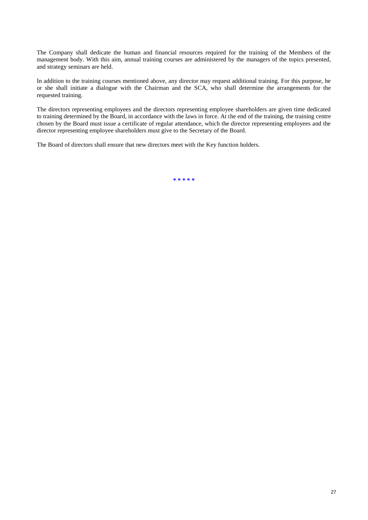The Company shall dedicate the human and financial resources required for the training of the Members of the management body. With this aim, annual training courses are administered by the managers of the topics presented, and strategy seminars are held.

In addition to the training courses mentioned above, any director may request additional training. For this purpose, he or she shall initiate a dialogue with the Chairman and the SCA, who shall determine the arrangements for the requested training.

The directors representing employees and the directors representing employee shareholders are given time dedicated to training determined by the Board, in accordance with the laws in force. At the end of the training, the training centre chosen by the Board must issue a certificate of regular attendance, which the director representing employees and the director representing employee shareholders must give to the Secretary of the Board.

The Board of directors shall ensure that new directors meet with the Key function holders.

**\* \* \* \* \***